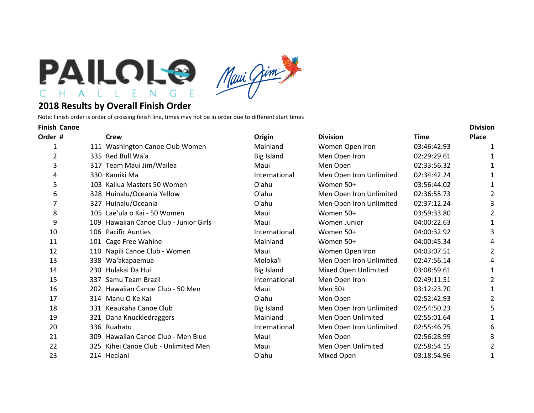



## **2018 Results by Overall Finish Order**

Note: Finish order is order of crossing finish line, times may not be in order due to different start times

| <b>Finish Canoe</b> |     |                                        |                   |                         |             | <b>Division</b> |  |
|---------------------|-----|----------------------------------------|-------------------|-------------------------|-------------|-----------------|--|
| Order #             |     | <b>Crew</b>                            | Origin            | <b>Division</b>         | Time        | <b>Place</b>    |  |
|                     |     | 111 Washington Canoe Club Women        | Mainland          | Women Open Iron         | 03:46:42.93 | 1               |  |
| $\overline{2}$      |     | 335 Red Bull Wa'a                      | <b>Big Island</b> | Men Open Iron           | 02:29:29.61 |                 |  |
| 3                   |     | 317 Team Maui Jim/Wailea               | Maui              | Men Open                | 02:33:56.32 |                 |  |
| 4                   |     | 330 Kamiki Ma                          | International     | Men Open Iron Unlimited | 02:34:42.24 |                 |  |
| 5                   |     | 103 Kailua Masters 50 Women            | O'ahu             | Women 50+               | 03:56:44.02 |                 |  |
| 6                   |     | 328 Huinalu/Oceania Yellow             | O'ahu             | Men Open Iron Unlimited | 02:36:55.73 | 2               |  |
| 7                   |     | 327 Huinalu/Oceania                    | O'ahu             | Men Open Iron Unlimited | 02:37:12.24 | 3               |  |
| 8                   |     | 105 Lae'ula o Kai - 50 Women           | Maui              | Women 50+               | 03:59:33.80 | 2               |  |
| 9                   |     | 109 Hawaiian Canoe Club - Junior Girls | Maui              | Women Junior            | 04:00:22.63 | 1               |  |
| 10                  |     | 106 Pacific Aunties                    | International     | Women 50+               | 04:00:32.92 | 3               |  |
| 11                  |     | 101 Cage Free Wahine                   | Mainland          | Women 50+               | 04:00:45.34 | 4               |  |
| 12                  |     | 110 Napili Canoe Club - Women          | Maui              | Women Open Iron         | 04:03:07.51 | 2               |  |
| 13                  |     | 338 Wa'akapaemua                       | Moloka'i          | Men Open Iron Unlimited | 02:47:56.14 | 4               |  |
| 14                  |     | 230 Hulakai Da Hui                     | <b>Big Island</b> | Mixed Open Unlimited    | 03:08:59.61 | 1               |  |
| 15                  | 337 | Samu Team Brazil                       | International     | Men Open Iron           | 02:49:11.51 | 2               |  |
| 16                  |     | 202 Hawaiian Canoe Club - 50 Men       | Maui              | Men 50+                 | 03:12:23.70 | 1               |  |
| 17                  |     | 314 Manu O Ke Kai                      | O'ahu             | Men Open                | 02:52:42.93 | $\overline{2}$  |  |
| 18                  |     | 331 Keaukaha Canoe Club                | <b>Big Island</b> | Men Open Iron Unlimited | 02:54:50.23 | 5               |  |
| 19                  |     | 321 Dana Knuckledraggers               | Mainland          | Men Open Unlimited      | 02:55:01.64 | 1               |  |
| 20                  |     | 336 Ruahatu                            | International     | Men Open Iron Unlimited | 02:55:46.75 | 6               |  |
| 21                  | 309 | Hawaiian Canoe Club - Men Blue         | Maui              | Men Open                | 02:56:28.99 | 3               |  |
| 22                  | 325 | Kihei Canoe Club - Unlimited Men       | Maui              | Men Open Unlimited      | 02:58:54.15 | 2               |  |
| 23                  |     | 214 Healani                            | O'ahu             | Mixed Open              | 03:18:54.96 |                 |  |
|                     |     |                                        |                   |                         |             |                 |  |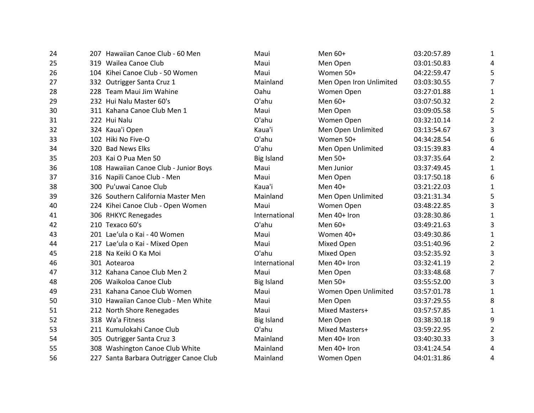| 24 | 207 Hawaiian Canoe Club - 60 Men       | Maui              | Men 60+                 | 03:20:57.89 | 1              |
|----|----------------------------------------|-------------------|-------------------------|-------------|----------------|
| 25 | 319 Wailea Canoe Club                  | Maui              | Men Open                | 03:01:50.83 | 4              |
| 26 | 104 Kihei Canoe Club - 50 Women        | Maui              | Women 50+               | 04:22:59.47 | 5              |
| 27 | 332 Outrigger Santa Cruz 1             | Mainland          | Men Open Iron Unlimited | 03:03:30.55 | $\overline{7}$ |
| 28 | 228 Team Maui Jim Wahine               | Oahu              | Women Open              | 03:27:01.88 | $\mathbf{1}$   |
| 29 | 232 Hui Nalu Master 60's               | O'ahu             | Men 60+                 | 03:07:50.32 | 2              |
| 30 | 311 Kahana Canoe Club Men 1            | Maui              | Men Open                | 03:09:05.58 | 5              |
| 31 | 222 Hui Nalu                           | O'ahu             | Women Open              | 03:32:10.14 | 2              |
| 32 | 324 Kaua'i Open                        | Kaua'i            | Men Open Unlimited      | 03:13:54.67 | 3              |
| 33 | 102 Hiki No Five-O                     | O'ahu             | Women 50+               | 04:34:28.54 | 6              |
| 34 | 320 Bad News Elks                      | O'ahu             | Men Open Unlimited      | 03:15:39.83 | 4              |
| 35 | 203 Kai O Pua Men 50                   | <b>Big Island</b> | Men 50+                 | 03:37:35.64 | $\overline{2}$ |
| 36 | 108 Hawaiian Canoe Club - Junior Boys  | Maui              | Men Junior              | 03:37:49.45 | $\mathbf{1}$   |
| 37 | 316 Napili Canoe Club - Men            | Maui              | Men Open                | 03:17:50.18 | 6              |
| 38 | 300 Pu'uwai Canoe Club                 | Kaua'i            | Men 40+                 | 03:21:22.03 | 1              |
| 39 | 326 Southern California Master Men     | Mainland          | Men Open Unlimited      | 03:21:31.34 | 5              |
| 40 | 224 Kihei Canoe Club - Open Women      | Maui              | Women Open              | 03:48:22.85 | 3              |
| 41 | 306 RHKYC Renegades                    | International     | Men 40+ Iron            | 03:28:30.86 | 1              |
|    | 210 Texaco 60's                        | O'ahu             | Men 60+                 | 03:49:21.63 | 3              |
| 42 | 201 Lae'ula o Kai - 40 Women           |                   | Women 40+               | 03:49:30.86 |                |
| 43 |                                        | Maui              |                         |             | $\mathbf{1}$   |
| 44 | 217 Lae'ula o Kai - Mixed Open         | Maui              | Mixed Open              | 03:51:40.96 | 2              |
| 45 | 218 Na Keiki O Ka Moi                  | O'ahu             | Mixed Open              | 03:52:35.92 | 3              |
| 46 | 301 Aotearoa                           | International     | Men 40+ Iron            | 03:32:41.19 | 2              |
| 47 | 312 Kahana Canoe Club Men 2            | Maui              | Men Open                | 03:33:48.68 | 7              |
| 48 | 206 Waikoloa Canoe Club                | <b>Big Island</b> | Men 50+                 | 03:55:52.00 | 3              |
| 49 | 231 Kahana Canoe Club Women            | Maui              | Women Open Unlimited    | 03:57:01.78 | 1              |
| 50 | 310 Hawaiian Canoe Club - Men White    | Maui              | Men Open                | 03:37:29.55 | 8              |
| 51 | 212 North Shore Renegades              | Maui              | Mixed Masters+          | 03:57:57.85 | 1              |
| 52 | 318 Wa'a Fitness                       | <b>Big Island</b> | Men Open                | 03:38:30.18 | 9              |
| 53 | 211 Kumulokahi Canoe Club              | O'ahu             | Mixed Masters+          | 03:59:22.95 | $\overline{2}$ |
| 54 | 305 Outrigger Santa Cruz 3             | Mainland          | Men 40+ Iron            | 03:40:30.33 | 3              |
| 55 | 308 Washington Canoe Club White        | Mainland          | Men 40+ Iron            | 03:41:24.54 | 4              |
| 56 | 227 Santa Barbara Outrigger Canoe Club | Mainland          | Women Open              | 04:01:31.86 | 4              |